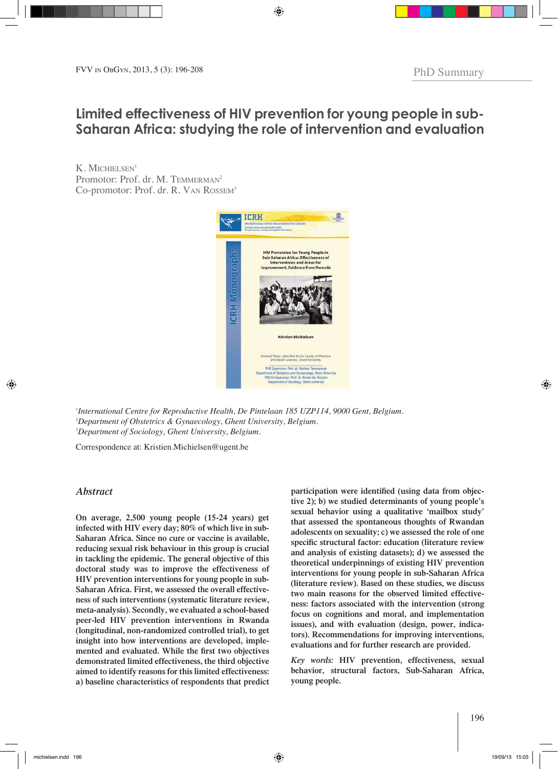# **Limited effectiveness of HIV prevention for young people in sub-Saharan Africa: studying the role of intervention and evaluation**

 $K$ . MICHIELSEN<sup>1</sup> Promotor: Prof. dr. M. TEMMERMAN<sup>2</sup> Co-promotor: Prof. dr. R. VAN ROSSEM<sup>3</sup>



1 *International Centre for Reproductive Health, De Pintelaan 185 UZP114, 9000 Gent, Belgium.* 2 *Department of Obstetrics & Gynaecology, Ghent University, Belgium.* 3 *Department of Sociology, Ghent University, Belgium.*

Correspondence at: Kristien.Michielsen@ugent.be

# *Abstract*

**On average, 2,500 young people (15-24 years) get infected with HIV every day; 80% of which live in sub-Saharan Africa. Since no cure or vaccine is available, reducing sexual risk behaviour in this group is crucial in tackling the epidemic. The general objective of this doctoral study was to improve the effectiveness of HIV prevention interventions for young people in sub-Saharan Africa. First, we assessed the overall effectiveness of such interventions (systematic literature review, meta-analysis). Secondly, we evaluated a school-based peer-led HIV prevention interventions in Rwanda (longitudinal, non-randomized controlled trial), to get insight into how interventions are developed, implemented and evaluated. While the first two objectives demonstrated limited effectiveness, the third objective aimed to identify reasons for this limited effectiveness: a) baseline characteristics of respondents that predict**  **participation were identified (using data from objective 2); b) we studied determinants of young people's sexual behavior using a qualitative 'mailbox study' that assessed the spontaneous thoughts of Rwandan adolescents on sexuality; c) we assessed the role of one specific structural factor: education (literature review and analysis of existing datasets); d) we assessed the theoretical underpinnings of existing HIV prevention interventions for young people in sub-Saharan Africa (literature review). Based on these studies, we discuss two main reasons for the observed limited effectiveness: factors associated with the intervention (strong focus on cognitions and moral, and implementation issues), and with evaluation (design, power, indicators). Recommendations for improving interventions, evaluations and for further research are provided.**

*Key words:* **HIV prevention, effectiveness, sexual behavior, structural factors, Sub-Saharan Africa, young people.**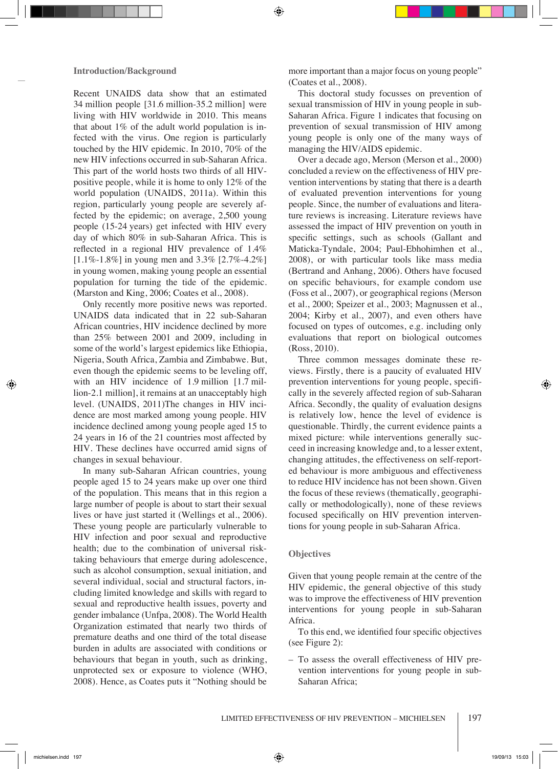Recent UNAIDS data show that an estimated 34 million people [31.6 million-35.2 million] were living with HIV worldwide in 2010. This means that about  $1\%$  of the adult world population is infected with the virus. One region is particularly touched by the HIV epidemic. In 2010, 70% of the new HIV infections occurred in sub-Saharan Africa. This part of the world hosts two thirds of all HIVpositive people, while it is home to only 12% of the world population (UNAIDS, 2011a). Within this region, particularly young people are severely affected by the epidemic; on average, 2,500 young people (15-24 years) get infected with HIV every day of which 80% in sub-Saharan Africa. This is reflected in a regional HIV prevalence of 1.4%  $[1.1\% - 1.8\%]$  in young men and 3.3%  $[2.7\% - 4.2\%]$ in young women, making young people an essential population for turning the tide of the epidemic. (Marston and King, 2006; Coates et al., 2008).

Only recently more positive news was reported. UNAIDS data indicated that in 22 sub-Saharan African countries, HIV incidence declined by more than 25% between 2001 and 2009, including in some of the world's largest epidemics like Ethiopia, Nigeria, South Africa, Zambia and Zimbabwe. But, even though the epidemic seems to be leveling off, with an HIV incidence of 1.9 million [1.7 million-2.1 million], it remains at an unacceptably high level. (UNAIDS, 2011)The changes in HIV incidence are most marked among young people. HIV incidence declined among young people aged 15 to 24 years in 16 of the 21 countries most affected by HIV. These declines have occurred amid signs of changes in sexual behaviour.

In many sub-Saharan African countries, young people aged 15 to 24 years make up over one third of the population. This means that in this region a large number of people is about to start their sexual lives or have just started it (Wellings et al., 2006). These young people are particularly vulnerable to HIV infection and poor sexual and reproductive health; due to the combination of universal risktaking behaviours that emerge during adolescence, such as alcohol consumption, sexual initiation, and several individual, social and structural factors, including limited knowledge and skills with regard to sexual and reproductive health issues, poverty and gender imbalance (Unfpa, 2008). The World Health Organization estimated that nearly two thirds of premature deaths and one third of the total disease burden in adults are associated with conditions or behaviours that began in youth, such as drinking, unprotected sex or exposure to violence (WHO, 2008). Hence, as Coates puts it "Nothing should be

more important than a major focus on young people" (Coates et al., 2008).

This doctoral study focusses on prevention of sexual transmission of HIV in young people in sub-Saharan Africa. Figure 1 indicates that focusing on prevention of sexual transmission of HIV among young people is only one of the many ways of managing the HIV/AIDS epidemic.

Over a decade ago, Merson (Merson et al., 2000) concluded a review on the effectiveness of HIV prevention interventions by stating that there is a dearth of evaluated prevention interventions for young people. Since, the number of evaluations and literature reviews is increasing. Literature reviews have assessed the impact of HIV prevention on youth in specific settings, such as schools (Gallant and Maticka-Tyndale, 2004; Paul-Ebhohimhen et al., 2008), or with particular tools like mass media (Bertrand and Anhang, 2006). Others have focused on specific behaviours, for example condom use (Foss et al., 2007), or geographical regions (Merson et al., 2000; Speizer et al., 2003; Magnussen et al., 2004; Kirby et al., 2007), and even others have focused on types of outcomes, e.g. including only evaluations that report on biological outcomes (Ross, 2010).

Three common messages dominate these reviews. Firstly, there is a paucity of evaluated HIV prevention interventions for young people, specifically in the severely affected region of sub-Saharan Africa. Secondly, the quality of evaluation designs is relatively low, hence the level of evidence is questionable. Thirdly, the current evidence paints a mixed picture: while interventions generally succeed in increasing knowledge and, to a lesser extent, changing attitudes, the effectiveness on self-reported behaviour is more ambiguous and effectiveness to reduce HIV incidence has not been shown. Given the focus of these reviews (thematically, geographically or methodologically), none of these reviews focused specifically on HIV prevention interventions for young people in sub-Saharan Africa.

# **Objectives**

Given that young people remain at the centre of the HIV epidemic, the general objective of this study was to improve the effectiveness of HIV prevention interventions for young people in sub-Saharan Africa.

To this end, we identified four specific objectives (see Figure 2):

– To assess the overall effectiveness of HIV prevention interventions for young people in sub-Saharan Africa;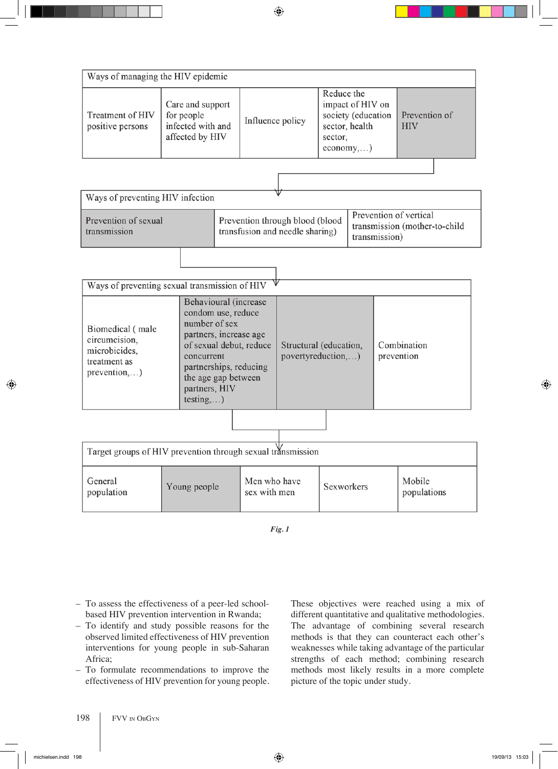| Ways of managing the HIV epidemic                                                                              |  |                  |                                                                                                          |                             |  |  |  |
|----------------------------------------------------------------------------------------------------------------|--|------------------|----------------------------------------------------------------------------------------------------------|-----------------------------|--|--|--|
| Care and support<br>Treatment of HIV<br>for people<br>infected with and<br>positive persons<br>affected by HIV |  | Influence policy | Reduce the<br>impact of HIV on<br>society (education<br>sector, health<br>sector,<br>$e_{\rm conomy,}$ ) | Prevention of<br><b>HIV</b> |  |  |  |
|                                                                                                                |  |                  |                                                                                                          |                             |  |  |  |
|                                                                                                                |  |                  |                                                                                                          |                             |  |  |  |

| Ways of preventing HIV infection     |                                                                    |                                                                          |  |  |  |  |
|--------------------------------------|--------------------------------------------------------------------|--------------------------------------------------------------------------|--|--|--|--|
| Prevention of sexual<br>transmission | Prevention through blood (blood<br>transfusion and needle sharing) | Prevention of vertical<br>transmission (mother-to-child<br>transmission) |  |  |  |  |
|                                      |                                                                    |                                                                          |  |  |  |  |

| Ways of preventing sexual transmission of HIV                                      |                                                                                                                                                                                                                |                                              |  |                           |  |  |
|------------------------------------------------------------------------------------|----------------------------------------------------------------------------------------------------------------------------------------------------------------------------------------------------------------|----------------------------------------------|--|---------------------------|--|--|
| Biomedical (male<br>circumcision,<br>microbicides,<br>treatment as<br>prevention,) | Behavioural (increase<br>condom use, reduce<br>number of sex<br>partners, increase age<br>of sexual debut, reduce<br>concurrent<br>partnerships, reducing<br>the age gap between<br>partners, HIV<br>testing,) | Structural (education,<br>povertyreduction,) |  | Combination<br>prevention |  |  |
|                                                                                    |                                                                                                                                                                                                                |                                              |  |                           |  |  |

| Target groups of HIV prevention through sexual transmission |              |                              |            |                       |  |  |
|-------------------------------------------------------------|--------------|------------------------------|------------|-----------------------|--|--|
| General<br>population                                       | Young people | Men who have<br>sex with men | Sexworkers | Mobile<br>populations |  |  |

- To assess the effectiveness of a peer-led schoolbased HIV prevention intervention in Rwanda;
- To identify and study possible reasons for the observed limited effectiveness of HIV prevention interventions for young people in sub-Saharan Africa;
- To formulate recommendations to improve the effectiveness of HIV prevention for young people.

These objectives were reached using a mix of different quantitative and qualitative methodologies. The advantage of combining several research methods is that they can counteract each other's weaknesses while taking advantage of the particular strengths of each method; combining research methods most likely results in a more complete picture of the topic under study.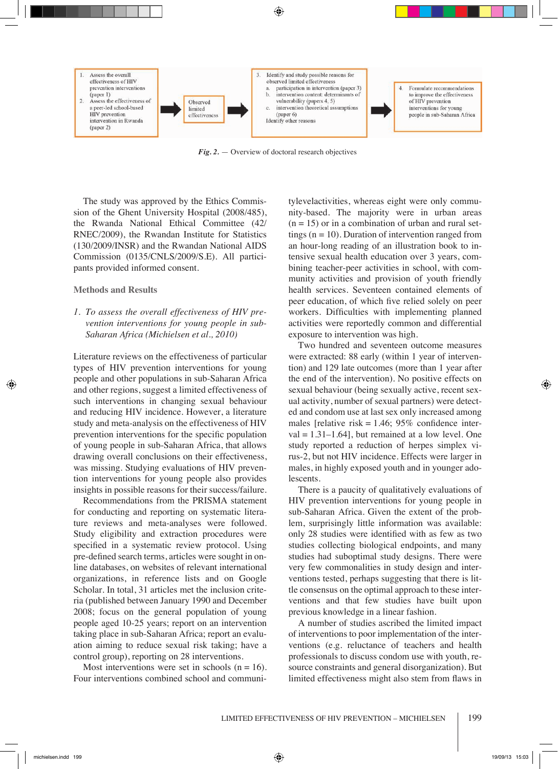

*Fig. 2.* — Overview of doctoral research objectives

The study was approved by the Ethics Commission of the Ghent University Hospital (2008/485), the Rwanda National Ethical Committee (42/ RNEC/2009), the Rwandan Institute for Statistics (130/2009/INSR) and the Rwandan National AIDS Commission (0135/CNLS/2009/S.E). All participants provided informed consent.

#### **Methods and Results**

*1. To assess the overall effectiveness of HIV prevention interventions for young people in sub-Saharan Africa (Michielsen et al., 2010)*

Literature reviews on the effectiveness of particular types of HIV prevention interventions for young people and other populations in sub-Saharan Africa and other regions, suggest a limited effectiveness of such interventions in changing sexual behaviour and reducing HIV incidence. However, a literature study and meta-analysis on the effectiveness of HIV prevention interventions for the specific population of young people in sub-Saharan Africa, that allows drawing overall conclusions on their effectiveness, was missing. Studying evaluations of HIV prevention interventions for young people also provides insights in possible reasons for their success/failure.

Recommendations from the PRISMA statement for conducting and reporting on systematic literature reviews and meta-analyses were followed. Study eligibility and extraction procedures were specified in a systematic review protocol. Using pre-defined search terms, articles were sought in online databases, on websites of relevant international organizations, in reference lists and on Google Scholar. In total, 31 articles met the inclusion criteria (published between January 1990 and December 2008; focus on the general population of young people aged 10-25 years; report on an intervention taking place in sub-Saharan Africa; report an evaluation aiming to reduce sexual risk taking; have a control group), reporting on 28 interventions.

Most interventions were set in schools  $(n = 16)$ . Four interventions combined school and communi-

tylevelactivities, whereas eight were only community-based. The majority were in urban areas  $(n = 15)$  or in a combination of urban and rural settings  $(n = 10)$ . Duration of intervention ranged from an hour-long reading of an illustration book to intensive sexual health education over 3 years, combining teacher-peer activities in school, with community activities and provision of youth friendly health services. Seventeen contained elements of peer education, of which five relied solely on peer workers. Difficulties with implementing planned activities were reportedly common and differential exposure to intervention was high.

Two hundred and seventeen outcome measures were extracted: 88 early (within 1 year of intervention) and 129 late outcomes (more than 1 year after the end of the intervention). No positive effects on sexual behaviour (being sexually active, recent sexual activity, number of sexual partners) were detected and condom use at last sex only increased among males [relative risk =  $1.46$ ; 95% confidence inter $val = 1.31-1.64$ , but remained at a low level. One study reported a reduction of herpes simplex virus-2, but not HIV incidence. Effects were larger in males, in highly exposed youth and in younger adolescents.

There is a paucity of qualitatively evaluations of HIV prevention interventions for young people in sub-Saharan Africa. Given the extent of the problem, surprisingly little information was available: only 28 studies were identified with as few as two studies collecting biological endpoints, and many studies had suboptimal study designs. There were very few commonalities in study design and interventions tested, perhaps suggesting that there is little consensus on the optimal approach to these interventions and that few studies have built upon previous knowledge in a linear fashion.

A number of studies ascribed the limited impact of interventions to poor implementation of the interventions (e.g. reluctance of teachers and health professionals to discuss condom use with youth, resource constraints and general disorganization). But limited effectiveness might also stem from flaws in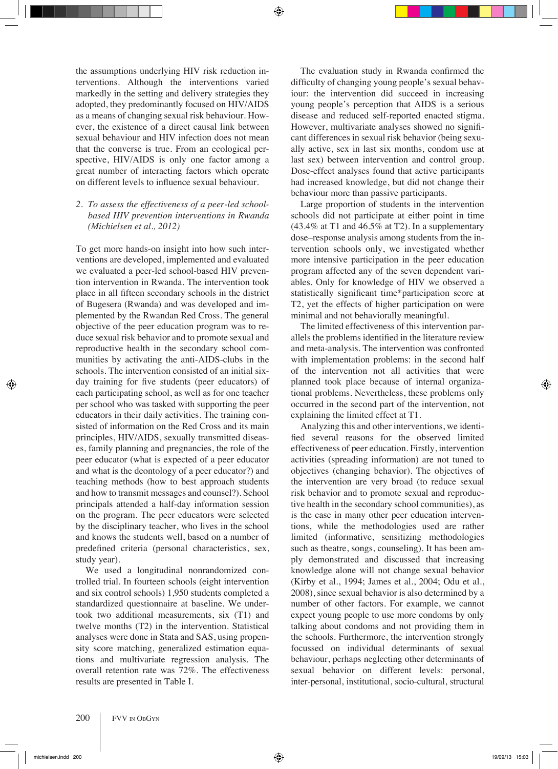the assumptions underlying HIV risk reduction interventions. Although the interventions varied markedly in the setting and delivery strategies they adopted, they predominantly focused on HIV/AIDS as a means of changing sexual risk behaviour. However, the existence of a direct causal link between sexual behaviour and HIV infection does not mean that the converse is true. From an ecological perspective, HIV/AIDS is only one factor among a great number of interacting factors which operate on different levels to influence sexual behaviour.

*2. To assess the effectiveness of a peer-led schoolbased HIV prevention interventions in Rwanda (Michielsen et al., 2012)*

To get more hands-on insight into how such interventions are developed, implemented and evaluated we evaluated a peer-led school-based HIV prevention intervention in Rwanda. The intervention took place in all fifteen secondary schools in the district of Bugesera (Rwanda) and was developed and implemented by the Rwandan Red Cross. The general objective of the peer education program was to reduce sexual risk behavior and to promote sexual and reproductive health in the secondary school communities by activating the anti-AIDS-clubs in the schools. The intervention consisted of an initial sixday training for five students (peer educators) of each participating school, as well as for one teacher per school who was tasked with supporting the peer educators in their daily activities. The training consisted of information on the Red Cross and its main principles, HIV/AIDS, sexually transmitted diseases, family planning and pregnancies, the role of the peer educator (what is expected of a peer educator and what is the deontology of a peer educator?) and teaching methods (how to best approach students and how to transmit messages and counsel?). School principals attended a half-day information session on the program. The peer educators were selected by the disciplinary teacher, who lives in the school and knows the students well, based on a number of predefined criteria (personal characteristics, sex, study year).

We used a longitudinal nonrandomized controlled trial. In fourteen schools (eight intervention and six control schools) 1,950 students completed a standardized questionnaire at baseline. We undertook two additional measurements, six (T1) and twelve months (T2) in the intervention. Statistical analyses were done in Stata and SAS, using propensity score matching, generalized estimation equations and multivariate regression analysis. The overall retention rate was 72%. The effectiveness results are presented in Table I.

The evaluation study in Rwanda confirmed the difficulty of changing young people's sexual behaviour: the intervention did succeed in increasing young people's perception that AIDS is a serious disease and reduced self-reported enacted stigma. However, multivariate analyses showed no significant differences in sexual risk behavior (being sexually active, sex in last six months, condom use at last sex) between intervention and control group. Dose-effect analyses found that active participants had increased knowledge, but did not change their behaviour more than passive participants.

Large proportion of students in the intervention schools did not participate at either point in time  $(43.4\% \text{ at } T1 \text{ and } 46.5\% \text{ at } T2)$ . In a supplementary dose–response analysis among students from the intervention schools only, we investigated whether more intensive participation in the peer education program affected any of the seven dependent variables. Only for knowledge of HIV we observed a statistically significant time\*participation score at T2, yet the effects of higher participation on were minimal and not behaviorally meaningful.

The limited effectiveness of this intervention parallels the problems identified in the literature review and meta-analysis. The intervention was confronted with implementation problems: in the second half of the intervention not all activities that were planned took place because of internal organizational problems. Nevertheless, these problems only occurred in the second part of the intervention, not explaining the limited effect at T1.

Analyzing this and other interventions, we identified several reasons for the observed limited effectiveness of peer education. Firstly, intervention activities (spreading information) are not tuned to objectives (changing behavior). The objectives of the intervention are very broad (to reduce sexual risk behavior and to promote sexual and reproductive health in the secondary school communities), as is the case in many other peer education interventions, while the methodologies used are rather limited (informative, sensitizing methodologies such as theatre, songs, counseling). It has been amply demonstrated and discussed that increasing knowledge alone will not change sexual behavior (Kirby et al., 1994; James et al., 2004; Odu et al., 2008), since sexual behavior is also determined by a number of other factors. For example, we cannot expect young people to use more condoms by only talking about condoms and not providing them in the schools. Furthermore, the intervention strongly focussed on individual determinants of sexual behaviour, perhaps neglecting other determinants of sexual behavior on different levels: personal, inter-personal, institutional, socio-cultural, structural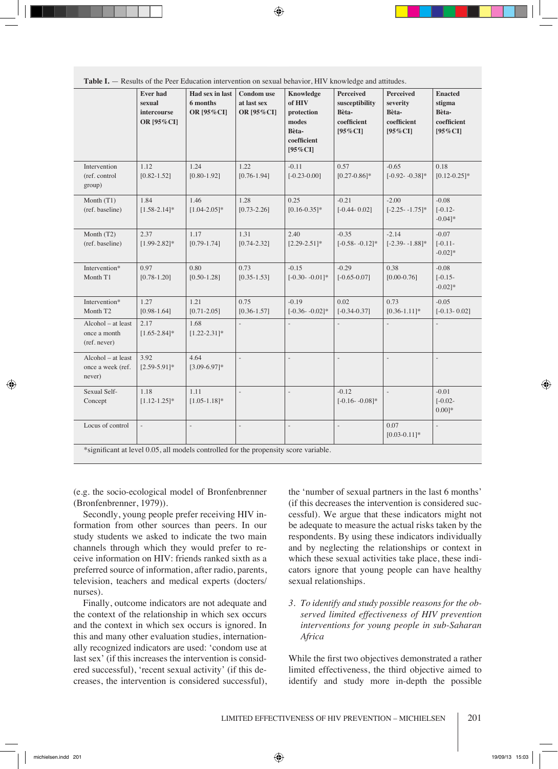|                                                                                                          | <b>Ever had</b><br>sexual<br>intercourse<br>OR [95%CI] | Had sex in last<br>6 months<br>OR [95%CI] | <b>Condom</b> use<br>at last sex<br>OR [95%CI] | Knowledge<br>of HIV<br>protection<br>modes<br>Bèta-<br>coefficient<br>$[95\%CI]$ | <b>Perceived</b><br>susceptibility<br>Bèta-<br>coefficient<br>$[95\%CI]$ | <b>Perceived</b><br>severity<br>Bèta-<br>coefficient<br>$[95\%CI]$ | <b>Enacted</b><br>stigma<br>Bèta-<br>coefficient<br>$[95\%CI]$ |
|----------------------------------------------------------------------------------------------------------|--------------------------------------------------------|-------------------------------------------|------------------------------------------------|----------------------------------------------------------------------------------|--------------------------------------------------------------------------|--------------------------------------------------------------------|----------------------------------------------------------------|
| Intervention<br>(ref. control<br>group)                                                                  | 1.12<br>$[0.82 - 1.52]$                                | 1.24<br>$[0.80 - 1.92]$                   | 1.22<br>$[0.76 - 1.94]$                        | $-0.11$<br>$[-0.23 - 0.00]$                                                      | 0.57<br>$[0.27 - 0.86]$ *                                                | $-0.65$<br>$[-0.92 - 0.38]$ *                                      | 0.18<br>$[0.12 - 0.25]$ *                                      |
| Month (T1)<br>(ref. baseline)                                                                            | 1.84<br>$[1.58 - 2.14]$ *                              | 1.46<br>$[1.04 - 2.05]$ *                 | 1.28<br>$[0.73 - 2.26]$                        | 0.25<br>$[0.16 - 0.35]$ *                                                        | $-0.21$<br>$[-0.44 - 0.02]$                                              | $-2.00$<br>$[-2.25 - 1.75]$ *                                      | $-0.08$<br>$[-0.12 -$<br>$-0.04$ <sup>*</sup>                  |
| Month (T2)<br>(ref. baseline)                                                                            | 2.37<br>$[1.99-2.82]*$                                 | 1.17<br>$[0.79 - 1.74]$                   | 1.31<br>$[0.74 - 2.32]$                        | 2.40<br>$[2.29 - 2.51]$ *                                                        | $-0.35$<br>$[-0.58 - 0.12]$ *                                            | $-2.14$<br>$[-2.39 - 1.88]$ *                                      | $-0.07$<br>$[-0.11]$<br>$-0.02$ <sup>*</sup>                   |
| Intervention*<br>Month T1                                                                                | 0.97<br>$[0.78 - 1.20]$                                | 0.80<br>$[0.50 - 1.28]$                   | 0.73<br>$[0.35 - 1.53]$                        | $-0.15$<br>$[-0.30 - 0.01]*$                                                     | $-0.29$<br>$[-0.65 - 0.07]$                                              | 0.38<br>$[0.00 - 0.76]$                                            | $-0.08$<br>$[-0.15 -$<br>$-0.02$ <sup>*</sup>                  |
| Intervention*<br>Month T <sub>2</sub>                                                                    | 1.27<br>$[0.98 - 1.64]$                                | 1.21<br>$[0.71 - 2.05]$                   | 0.75<br>$[0.36 - 1.57]$                        | $-0.19$<br>$[-0.36 - 0.02]$ *                                                    | 0.02<br>$[-0.34 - 0.37]$                                                 | 0.73<br>$[0.36 - 1.11]$ *                                          | $-0.05$<br>$[-0.13 - 0.02]$                                    |
| Alcohol – at least<br>once a month<br>(ref. never)                                                       | 2.17<br>$[1.65 - 2.84]$ *                              | 1.68<br>$[1.22 - 2.31]$ *                 | $\overline{a}$                                 | $\overline{a}$                                                                   | $\frac{1}{2}$                                                            | $\overline{a}$                                                     | $\overline{a}$                                                 |
| Alcohol - at least<br>once a week (ref.<br>never)                                                        | 3.92<br>$[2.59 - 5.91]$ *                              | 4.64<br>$[3.09 - 6.97]$ *                 | $\overline{a}$                                 | $\overline{a}$                                                                   | $\overline{a}$                                                           |                                                                    | $\overline{a}$                                                 |
| Sexual Self-<br>Concept                                                                                  | 1.18<br>$[1.12 - 1.25]$ *                              | 1.11<br>$[1.05 - 1.18]$ *                 | $\overline{a}$                                 | $\overline{a}$                                                                   | $-0.12$<br>$[-0.16 - 0.08]$ *                                            | $\overline{a}$                                                     | $-0.01$<br>$[-0.02 -$<br>$0.001*$                              |
| Locus of control<br>*significant at level 0.05, all models controlled for the propensity score variable. |                                                        | ÷,                                        |                                                | $\overline{a}$                                                                   |                                                                          | 0.07<br>$[0.03 - 0.11]$ *                                          |                                                                |

**Table I.** — Results of the Peer Education intervention on sexual behavior, HIV knowledge and attitudes.

(e.g. the socio-ecological model of Bronfenbrenner (Bronfenbrenner, 1979)).

Secondly, young people prefer receiving HIV information from other sources than peers. In our study students we asked to indicate the two main channels through which they would prefer to receive information on HIV: friends ranked sixth as a preferred source of information, after radio, parents, television, teachers and medical experts (docters/ nurses).

Finally, outcome indicators are not adequate and the context of the relationship in which sex occurs and the context in which sex occurs is ignored. In this and many other evaluation studies, internationally recognized indicators are used: 'condom use at last sex' (if this increases the intervention is considered successful), 'recent sexual activity' (if this decreases, the intervention is considered successful),

the 'number of sexual partners in the last 6 months' (if this decreases the intervention is considered successful). We argue that these indicators might not be adequate to measure the actual risks taken by the respondents. By using these indicators individually and by neglecting the relationships or context in which these sexual activities take place, these indicators ignore that young people can have healthy sexual relationships.

*3. To identify and study possible reasons for the observed limited effectiveness of HIV prevention interventions for young people in sub-Saharan Africa*

While the first two objectives demonstrated a rather limited effectiveness, the third objective aimed to identify and study more in-depth the possible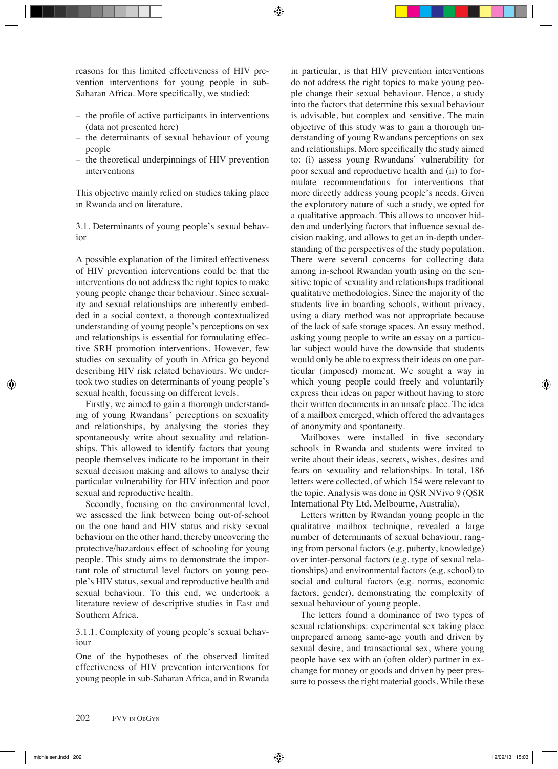reasons for this limited effectiveness of HIV prevention interventions for young people in sub-Saharan Africa. More specifically, we studied:

- the profile of active participants in interventions (data not presented here)
- the determinants of sexual behaviour of young people
- the theoretical underpinnings of HIV prevention interventions

This objective mainly relied on studies taking place in Rwanda and on literature.

3.1. Determinants of young people's sexual behavior

A possible explanation of the limited effectiveness of HIV prevention interventions could be that the interventions do not address the right topics to make young people change their behaviour. Since sexuality and sexual relationships are inherently embedded in a social context, a thorough contextualized understanding of young people's perceptions on sex and relationships is essential for formulating effective SRH promotion interventions. However, few studies on sexuality of youth in Africa go beyond describing HIV risk related behaviours. We undertook two studies on determinants of young people's sexual health, focussing on different levels.

Firstly, we aimed to gain a thorough understanding of young Rwandans' perceptions on sexuality and relationships, by analysing the stories they spontaneously write about sexuality and relationships. This allowed to identify factors that young people themselves indicate to be important in their sexual decision making and allows to analyse their particular vulnerability for HIV infection and poor sexual and reproductive health.

Secondly, focusing on the environmental level, we assessed the link between being out-of-school on the one hand and HIV status and risky sexual behaviour on the other hand, thereby uncovering the protective/hazardous effect of schooling for young people. This study aims to demonstrate the important role of structural level factors on young people's HIV status, sexual and reproductive health and sexual behaviour. To this end, we undertook a literature review of descriptive studies in East and Southern Africa.

# 3.1.1. Complexity of young people's sexual behaviour

One of the hypotheses of the observed limited effectiveness of HIV prevention interventions for young people in sub-Saharan Africa, and in Rwanda

in particular, is that HIV prevention interventions do not address the right topics to make young people change their sexual behaviour. Hence, a study into the factors that determine this sexual behaviour is advisable, but complex and sensitive. The main objective of this study was to gain a thorough understanding of young Rwandans perceptions on sex and relationships. More specifically the study aimed to: (i) assess young Rwandans' vulnerability for poor sexual and reproductive health and (ii) to formulate recommendations for interventions that more directly address young people's needs. Given the exploratory nature of such a study, we opted for a qualitative approach. This allows to uncover hidden and underlying factors that influence sexual decision making, and allows to get an in-depth understanding of the perspectives of the study population. There were several concerns for collecting data among in-school Rwandan youth using on the sensitive topic of sexuality and relationships traditional qualitative methodologies. Since the majority of the students live in boarding schools, without privacy, using a diary method was not appropriate because of the lack of safe storage spaces. An essay method, asking young people to write an essay on a particular subject would have the downside that students would only be able to express their ideas on one particular (imposed) moment. We sought a way in which young people could freely and voluntarily express their ideas on paper without having to store their written documents in an unsafe place. The idea of a mailbox emerged, which offered the advantages of anonymity and spontaneity.

Mailboxes were installed in five secondary schools in Rwanda and students were invited to write about their ideas, secrets, wishes, desires and fears on sexuality and relationships. In total, 186 letters were collected, of which 154 were relevant to the topic. Analysis was done in QSR NVivo 9 (QSR International Pty Ltd, Melbourne, Australia).

Letters written by Rwandan young people in the qualitative mailbox technique, revealed a large number of determinants of sexual behaviour, ranging from personal factors (e.g. puberty, knowledge) over inter-personal factors (e.g. type of sexual relationships) and environmental factors (e.g. school) to social and cultural factors (e.g. norms, economic factors, gender), demonstrating the complexity of sexual behaviour of young people.

The letters found a dominance of two types of sexual relationships: experimental sex taking place unprepared among same-age youth and driven by sexual desire, and transactional sex, where young people have sex with an (often older) partner in exchange for money or goods and driven by peer pressure to possess the right material goods. While these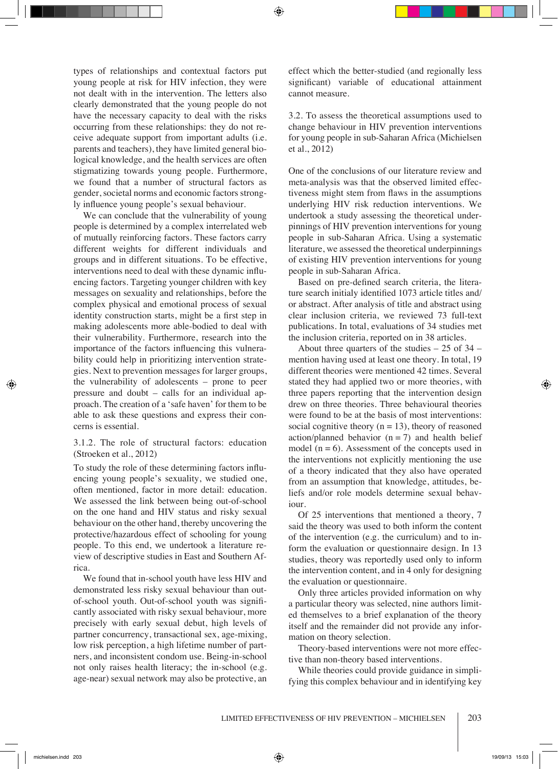types of relationships and contextual factors put young people at risk for HIV infection, they were not dealt with in the intervention. The letters also clearly demonstrated that the young people do not have the necessary capacity to deal with the risks occurring from these relationships: they do not receive adequate support from important adults (i.e. parents and teachers), they have limited general biological knowledge, and the health services are often stigmatizing towards young people. Furthermore, we found that a number of structural factors as gender, societal norms and economic factors strongly influence young people's sexual behaviour.

We can conclude that the vulnerability of young people is determined by a complex interrelated web of mutually reinforcing factors. These factors carry different weights for different individuals and groups and in different situations. To be effective, interventions need to deal with these dynamic influencing factors. Targeting younger children with key messages on sexuality and relationships, before the complex physical and emotional process of sexual identity construction starts, might be a first step in making adolescents more able-bodied to deal with their vulnerability. Furthermore, research into the importance of the factors influencing this vulnerability could help in prioritizing intervention strategies. Next to prevention messages for larger groups, the vulnerability of adolescents – prone to peer pressure and doubt – calls for an individual approach. The creation of a 'safe haven' for them to be able to ask these questions and express their concerns is essential.

#### 3.1.2. The role of structural factors: education (Stroeken et al., 2012)

To study the role of these determining factors influencing young people's sexuality, we studied one, often mentioned, factor in more detail: education. We assessed the link between being out-of-school on the one hand and HIV status and risky sexual behaviour on the other hand, thereby uncovering the protective/hazardous effect of schooling for young people. To this end, we undertook a literature review of descriptive studies in East and Southern Africa.

We found that in-school youth have less HIV and demonstrated less risky sexual behaviour than outof-school youth. Out-of-school youth was significantly associated with risky sexual behaviour, more precisely with early sexual debut, high levels of partner concurrency, transactional sex, age-mixing, low risk perception, a high lifetime number of partners, and inconsistent condom use. Being-in-school not only raises health literacy; the in-school (e.g. age-near) sexual network may also be protective, an effect which the better-studied (and regionally less significant) variable of educational attainment cannot measure.

3.2. To assess the theoretical assumptions used to change behaviour in HIV prevention interventions for young people in sub-Saharan Africa (Michielsen et al., 2012)

One of the conclusions of our literature review and meta-analysis was that the observed limited effectiveness might stem from flaws in the assumptions underlying HIV risk reduction interventions. We undertook a study assessing the theoretical underpinnings of HIV prevention interventions for young people in sub-Saharan Africa. Using a systematic literature, we assessed the theoretical underpinnings of existing HIV prevention interventions for young people in sub-Saharan Africa.

Based on pre-defined search criteria, the literature search initialy identified 1073 article titles and/ or abstract. After analysis of title and abstract using clear inclusion criteria, we reviewed 73 full-text publications. In total, evaluations of 34 studies met the inclusion criteria, reported on in 38 articles.

About three quarters of the studies  $-25$  of  $34$ mention having used at least one theory. In total, 19 different theories were mentioned 42 times. Several stated they had applied two or more theories, with three papers reporting that the intervention design drew on three theories. Three behavioural theories were found to be at the basis of most interventions: social cognitive theory  $(n = 13)$ , theory of reasoned action/planned behavior  $(n = 7)$  and health belief model  $(n = 6)$ . Assessment of the concepts used in the interventions not explicitly mentioning the use of a theory indicated that they also have operated from an assumption that knowledge, attitudes, beliefs and/or role models determine sexual behaviour.

Of 25 interventions that mentioned a theory, 7 said the theory was used to both inform the content of the intervention (e.g. the curriculum) and to inform the evaluation or questionnaire design. In 13 studies, theory was reportedly used only to inform the intervention content, and in 4 only for designing the evaluation or questionnaire.

Only three articles provided information on why a particular theory was selected, nine authors limited themselves to a brief explanation of the theory itself and the remainder did not provide any information on theory selection.

Theory-based interventions were not more effective than non-theory based interventions.

While theories could provide guidance in simplifying this complex behaviour and in identifying key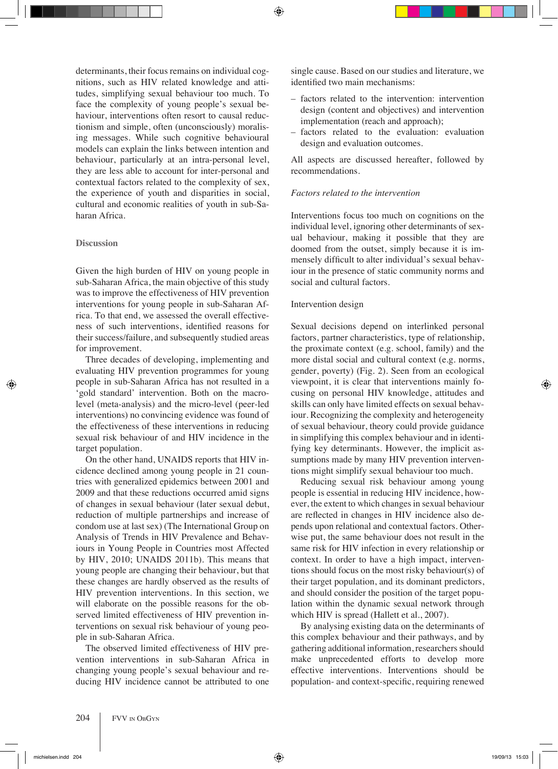determinants, their focus remains on individual cognitions, such as HIV related knowledge and attitudes, simplifying sexual behaviour too much. To face the complexity of young people's sexual behaviour, interventions often resort to causal reductionism and simple, often (unconsciously) moralising messages. While such cognitive behavioural models can explain the links between intention and behaviour, particularly at an intra-personal level, they are less able to account for inter-personal and contextual factors related to the complexity of sex, the experience of youth and disparities in social, cultural and economic realities of youth in sub-Saharan Africa.

#### **Discussion**

Given the high burden of HIV on young people in sub-Saharan Africa, the main objective of this study was to improve the effectiveness of HIV prevention interventions for young people in sub-Saharan Africa. To that end, we assessed the overall effectiveness of such interventions, identified reasons for their success/failure, and subsequently studied areas for improvement.

Three decades of developing, implementing and evaluating HIV prevention programmes for young people in sub-Saharan Africa has not resulted in a 'gold standard' intervention. Both on the macrolevel (meta-analysis) and the micro-level (peer-led interventions) no convincing evidence was found of the effectiveness of these interventions in reducing sexual risk behaviour of and HIV incidence in the target population.

On the other hand, UNAIDS reports that HIV incidence declined among young people in 21 countries with generalized epidemics between 2001 and 2009 and that these reductions occurred amid signs of changes in sexual behaviour (later sexual debut, reduction of multiple partnerships and increase of condom use at last sex) (The International Group on Analysis of Trends in HIV Prevalence and Behaviours in Young People in Countries most Affected by HIV, 2010; UNAIDS 2011b). This means that young people are changing their behaviour, but that these changes are hardly observed as the results of HIV prevention interventions. In this section, we will elaborate on the possible reasons for the observed limited effectiveness of HIV prevention interventions on sexual risk behaviour of young people in sub-Saharan Africa.

The observed limited effectiveness of HIV prevention interventions in sub-Saharan Africa in changing young people's sexual behaviour and reducing HIV incidence cannot be attributed to one single cause. Based on our studies and literature, we identified two main mechanisms:

- factors related to the intervention: intervention design (content and objectives) and intervention implementation (reach and approach);
- factors related to the evaluation: evaluation design and evaluation outcomes.

All aspects are discussed hereafter, followed by recommendations.

# *Factors related to the intervention*

Interventions focus too much on cognitions on the individual level, ignoring other determinants of sexual behaviour, making it possible that they are doomed from the outset, simply because it is immensely difficult to alter individual's sexual behaviour in the presence of static community norms and social and cultural factors.

#### Intervention design

Sexual decisions depend on interlinked personal factors, partner characteristics, type of relationship, the proximate context (e.g. school, family) and the more distal social and cultural context (e.g. norms, gender, poverty) (Fig. 2). Seen from an ecological viewpoint, it is clear that interventions mainly focusing on personal HIV knowledge, attitudes and skills can only have limited effects on sexual behaviour. Recognizing the complexity and heterogeneity of sexual behaviour, theory could provide guidance in simplifying this complex behaviour and in identifying key determinants. However, the implicit assumptions made by many HIV prevention interventions might simplify sexual behaviour too much.

Reducing sexual risk behaviour among young people is essential in reducing HIV incidence, however, the extent to which changes in sexual behaviour are reflected in changes in HIV incidence also depends upon relational and contextual factors. Otherwise put, the same behaviour does not result in the same risk for HIV infection in every relationship or context. In order to have a high impact, interventions should focus on the most risky behaviour(s) of their target population, and its dominant predictors, and should consider the position of the target population within the dynamic sexual network through which HIV is spread (Hallett et al., 2007).

By analysing existing data on the determinants of this complex behaviour and their pathways, and by gathering additional information, researchers should make unprecedented efforts to develop more effective interventions. Interventions should be population- and context-specific, requiring renewed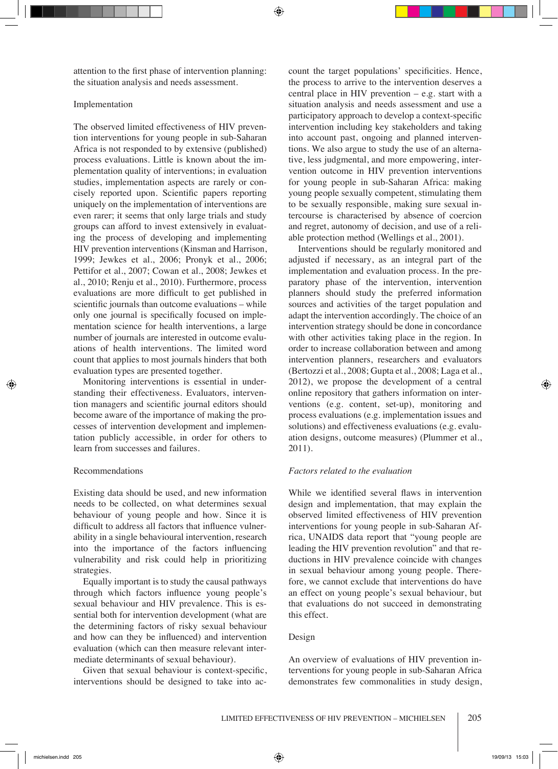attention to the first phase of intervention planning: the situation analysis and needs assessment.

#### Implementation

The observed limited effectiveness of HIV prevention interventions for young people in sub-Saharan Africa is not responded to by extensive (published) process evaluations. Little is known about the implementation quality of interventions; in evaluation studies, implementation aspects are rarely or concisely reported upon. Scientific papers reporting uniquely on the implementation of interventions are even rarer; it seems that only large trials and study groups can afford to invest extensively in evaluating the process of developing and implementing HIV prevention interventions (Kinsman and Harrison, 1999; Jewkes et al., 2006; Pronyk et al., 2006; Pettifor et al., 2007; Cowan et al., 2008; Jewkes et al., 2010; Renju et al., 2010). Furthermore, process evaluations are more difficult to get published in scientific journals than outcome evaluations – while only one journal is specifically focused on implementation science for health interventions, a large number of journals are interested in outcome evaluations of health interventions. The limited word count that applies to most journals hinders that both evaluation types are presented together.

Monitoring interventions is essential in understanding their effectiveness. Evaluators, intervention managers and scientific journal editors should become aware of the importance of making the processes of intervention development and implementation publicly accessible, in order for others to learn from successes and failures.

# Recommendations

Existing data should be used, and new information needs to be collected, on what determines sexual behaviour of young people and how. Since it is difficult to address all factors that influence vulnerability in a single behavioural intervention, research into the importance of the factors influencing vulnerability and risk could help in prioritizing strategies.

Equally important is to study the causal pathways through which factors influence young people's sexual behaviour and HIV prevalence. This is essential both for intervention development (what are the determining factors of risky sexual behaviour and how can they be influenced) and intervention evaluation (which can then measure relevant intermediate determinants of sexual behaviour).

Given that sexual behaviour is context-specific, interventions should be designed to take into account the target populations' specificities. Hence, the process to arrive to the intervention deserves a central place in HIV prevention – e.g. start with a situation analysis and needs assessment and use a participatory approach to develop a context-specific intervention including key stakeholders and taking into account past, ongoing and planned interventions. We also argue to study the use of an alternative, less judgmental, and more empowering, intervention outcome in HIV prevention interventions for young people in sub-Saharan Africa: making young people sexually competent, stimulating them to be sexually responsible, making sure sexual intercourse is characterised by absence of coercion and regret, autonomy of decision, and use of a reliable protection method (Wellings et al., 2001).

Interventions should be regularly monitored and adjusted if necessary, as an integral part of the implementation and evaluation process. In the preparatory phase of the intervention, intervention planners should study the preferred information sources and activities of the target population and adapt the intervention accordingly. The choice of an intervention strategy should be done in concordance with other activities taking place in the region. In order to increase collaboration between and among intervention planners, researchers and evaluators (Bertozzi et al., 2008; Gupta et al., 2008; Laga et al., 2012), we propose the development of a central online repository that gathers information on interventions (e.g. content, set-up), monitoring and process evaluations (e.g. implementation issues and solutions) and effectiveness evaluations (e.g. evaluation designs, outcome measures) (Plummer et al., 2011).

# *Factors related to the evaluation*

While we identified several flaws in intervention design and implementation, that may explain the observed limited effectiveness of HIV prevention interventions for young people in sub-Saharan Africa, UNAIDS data report that "young people are leading the HIV prevention revolution" and that reductions in HIV prevalence coincide with changes in sexual behaviour among young people. Therefore, we cannot exclude that interventions do have an effect on young people's sexual behaviour, but that evaluations do not succeed in demonstrating this effect.

#### Design

An overview of evaluations of HIV prevention interventions for young people in sub-Saharan Africa demonstrates few commonalities in study design,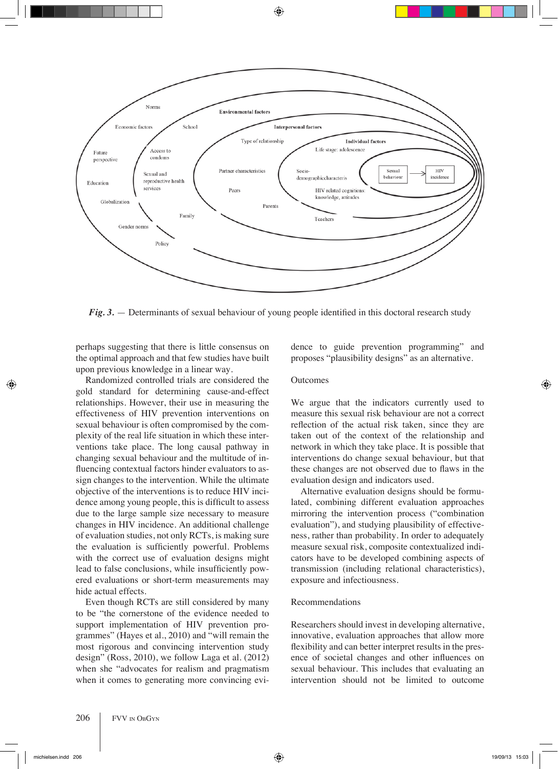

*Fig. 3.* — Determinants of sexual behaviour of young people identified in this doctoral research study

perhaps suggesting that there is little consensus on the optimal approach and that few studies have built upon previous knowledge in a linear way.

Randomized controlled trials are considered the gold standard for determining cause-and-effect relationships. However, their use in measuring the effectiveness of HIV prevention interventions on sexual behaviour is often compromised by the complexity of the real life situation in which these interventions take place. The long causal pathway in changing sexual behaviour and the multitude of influencing contextual factors hinder evaluators to assign changes to the intervention. While the ultimate objective of the interventions is to reduce HIV incidence among young people, this is difficult to assess due to the large sample size necessary to measure changes in HIV incidence. An additional challenge of evaluation studies, not only RCTs, is making sure the evaluation is sufficiently powerful. Problems with the correct use of evaluation designs might lead to false conclusions, while insufficiently powered evaluations or short-term measurements may hide actual effects.

Even though RCTs are still considered by many to be "the cornerstone of the evidence needed to support implementation of HIV prevention programmes" (Hayes et al., 2010) and "will remain the most rigorous and convincing intervention study design" (Ross, 2010), we follow Laga et al. (2012) when she "advocates for realism and pragmatism when it comes to generating more convincing evidence to guide prevention programming" and proposes "plausibility designs" as an alternative.

#### Outcomes

We argue that the indicators currently used to measure this sexual risk behaviour are not a correct reflection of the actual risk taken, since they are taken out of the context of the relationship and network in which they take place. It is possible that interventions do change sexual behaviour, but that these changes are not observed due to flaws in the evaluation design and indicators used.

Alternative evaluation designs should be formulated, combining different evaluation approaches mirroring the intervention process ("combination evaluation"), and studying plausibility of effectiveness, rather than probability. In order to adequately measure sexual risk, composite contextualized indicators have to be developed combining aspects of transmission (including relational characteristics), exposure and infectiousness.

#### Recommendations

Researchers should invest in developing alternative, innovative, evaluation approaches that allow more flexibility and can better interpret results in the presence of societal changes and other influences on sexual behaviour. This includes that evaluating an intervention should not be limited to outcome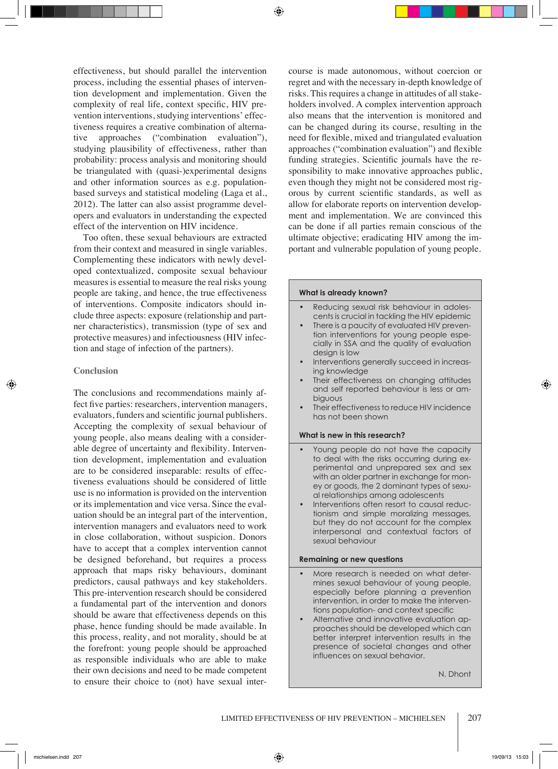effectiveness, but should parallel the intervention process, including the essential phases of intervention development and implementation. Given the complexity of real life, context specific, HIV prevention interventions, studying interventions' effectiveness requires a creative combination of alternative approaches ("combination evaluation"), studying plausibility of effectiveness, rather than probability: process analysis and monitoring should be triangulated with (quasi-)experimental designs and other information sources as e.g. populationbased surveys and statistical modeling (Laga et al., 2012). The latter can also assist programme developers and evaluators in understanding the expected effect of the intervention on HIV incidence.

Too often, these sexual behaviours are extracted from their context and measured in single variables. Complementing these indicators with newly developed contextualized, composite sexual behaviour measures is essential to measure the real risks young people are taking, and hence, the true effectiveness of interventions. Composite indicators should include three aspects: exposure (relationship and partner characteristics), transmission (type of sex and protective measures) and infectiousness (HIV infection and stage of infection of the partners).

#### **Conclusion**

The conclusions and recommendations mainly affect five parties: researchers, intervention managers, evaluators, funders and scientific journal publishers. Accepting the complexity of sexual behaviour of young people, also means dealing with a considerable degree of uncertainty and flexibility. Intervention development, implementation and evaluation are to be considered inseparable: results of effectiveness evaluations should be considered of little use is no information is provided on the intervention or its implementation and vice versa. Since the evaluation should be an integral part of the intervention, intervention managers and evaluators need to work in close collaboration, without suspicion. Donors have to accept that a complex intervention cannot be designed beforehand, but requires a process approach that maps risky behaviours, dominant predictors, causal pathways and key stakeholders. This pre-intervention research should be considered a fundamental part of the intervention and donors should be aware that effectiveness depends on this phase, hence funding should be made available. In this process, reality, and not morality, should be at the forefront: young people should be approached as responsible individuals who are able to make their own decisions and need to be made competent to ensure their choice to (not) have sexual intercourse is made autonomous, without coercion or regret and with the necessary in-depth knowledge of risks. This requires a change in attitudes of all stakeholders involved. A complex intervention approach also means that the intervention is monitored and can be changed during its course, resulting in the need for flexible, mixed and triangulated evaluation approaches ("combination evaluation") and flexible funding strategies. Scientific journals have the responsibility to make innovative approaches public, even though they might not be considered most rigorous by current scientific standards, as well as allow for elaborate reports on intervention development and implementation. We are convinced this can be done if all parties remain conscious of the ultimate objective; eradicating HIV among the important and vulnerable population of young people.

# **What is already known?**

- Reducing sexual risk behaviour in adolescents is crucial in tackling the HIV epidemic
- There is a paucity of evaluated HIV prevention interventions for young people especially in SSA and the quality of evaluation design is low
- Interventions generally succeed in increasing knowledge
- Their effectiveness on changing attitudes and self reported behaviour is less or ambiguous
- Their effectiveness to reduce HIV incidence has not been shown

# **What is new in this research?**

- Young people do not have the capacity to deal with the risks occurring during experimental and unprepared sex and sex with an older partner in exchange for money or goods, the 2 dominant types of sexual relationships among adolescents
- Interventions often resort to causal reductionism and simple moralizing messages, but they do not account for the complex interpersonal and contextual factors of sexual behaviour

# **Remaining or new questions**

- More research is needed on what determines sexual behaviour of young people, especially before planning a prevention intervention, in order to make the interventions population- and context specific
- Alternative and innovative evaluation approaches should be developed which can better interpret intervention results in the presence of societal changes and other influences on sexual behavior.

N. Dhont